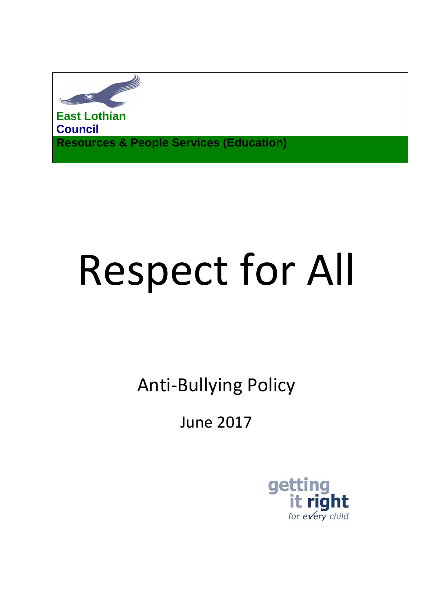

**East Lothian Council Resources & People Services (Education)**

# Respect for All

Anti-Bullying Policy

June 2017

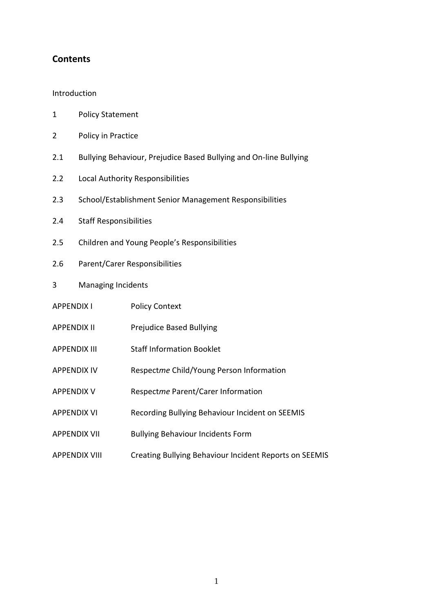# **Contents**

#### Introduction

- 1 Policy Statement
- 2 Policy in Practice
- 2.1 Bullying Behaviour, Prejudice Based Bullying and On-line Bullying
- 2.2 Local Authority Responsibilities
- 2.3 School/Establishment Senior Management Responsibilities
- 2.4 Staff Responsibilities
- 2.5 Children and Young People's Responsibilities
- 2.6 Parent/Carer Responsibilities
- 3 Managing Incidents
- APPENDIX I Policy Context
- APPENDIX II Prejudice Based Bullying
- APPENDIX III Staff Information Booklet
- APPENDIX IV Respect*me* Child/Young Person Information
- APPENDIX V Respect*me* Parent/Carer Information
- APPENDIX VI Recording Bullying Behaviour Incident on SEEMIS
- APPENDIX VII Bullying Behaviour Incidents Form
- APPENDIX VIII Creating Bullying Behaviour Incident Reports on SEEMIS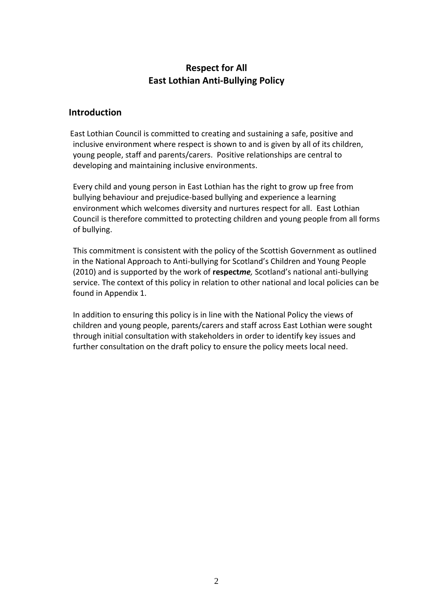# **Respect for All East Lothian Anti-Bullying Policy**

# **Introduction**

 East Lothian Council is committed to creating and sustaining a safe, positive and inclusive environment where respect is shown to and is given by all of its children, young people, staff and parents/carers. Positive relationships are central to developing and maintaining inclusive environments.

Every child and young person in East Lothian has the right to grow up free from bullying behaviour and prejudice-based bullying and experience a learning environment which welcomes diversity and nurtures respect for all. East Lothian Council is therefore committed to protecting children and young people from all forms of bullying.

This commitment is consistent with the policy of the Scottish Government as outlined in the National Approach to Anti-bullying for Scotland's Children and Young People (2010) and is supported by the work of **respect***me,* Scotland's national anti-bullying service. The context of this policy in relation to other national and local policies can be found in Appendix 1.

 In addition to ensuring this policy is in line with the National Policy the views of children and young people, parents/carers and staff across East Lothian were sought through initial consultation with stakeholders in order to identify key issues and further consultation on the draft policy to ensure the policy meets local need.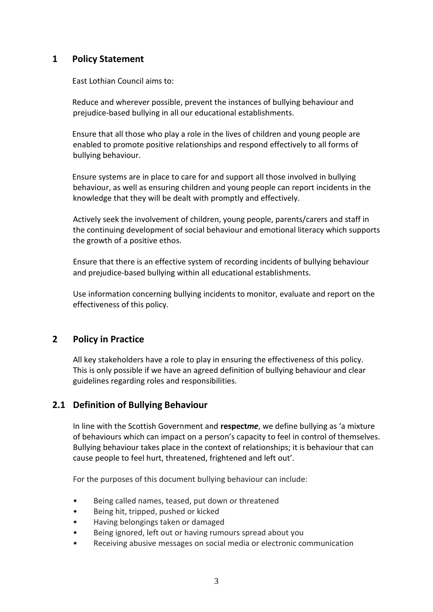# **1 Policy Statement**

East Lothian Council aims to:

Reduce and wherever possible, prevent the instances of bullying behaviour and prejudice-based bullying in all our educational establishments.

Ensure that all those who play a role in the lives of children and young people are enabled to promote positive relationships and respond effectively to all forms of bullying behaviour.

Ensure systems are in place to care for and support all those involved in bullying behaviour, as well as ensuring children and young people can report incidents in the knowledge that they will be dealt with promptly and effectively.

Actively seek the involvement of children, young people, parents/carers and staff in the continuing development of social behaviour and emotional literacy which supports the growth of a positive ethos.

Ensure that there is an effective system of recording incidents of bullying behaviour and prejudice-based bullying within all educational establishments.

Use information concerning bullying incidents to monitor, evaluate and report on the effectiveness of this policy.

# **2 Policy in Practice**

All key stakeholders have a role to play in ensuring the effectiveness of this policy. This is only possible if we have an agreed definition of bullying behaviour and clear guidelines regarding roles and responsibilities.

# **2.1 Definition of Bullying Behaviour**

In line with the Scottish Government and **respect***me*, we define bullying as 'a mixture of behaviours which can impact on a person's capacity to feel in control of themselves. Bullying behaviour takes place in the context of relationships; it is behaviour that can cause people to feel hurt, threatened, frightened and left out'.

For the purposes of this document bullying behaviour can include:

- Being called names, teased, put down or threatened
- Being hit, tripped, pushed or kicked
- Having belongings taken or damaged
- Being ignored, left out or having rumours spread about you
- Receiving abusive messages on social media or electronic communication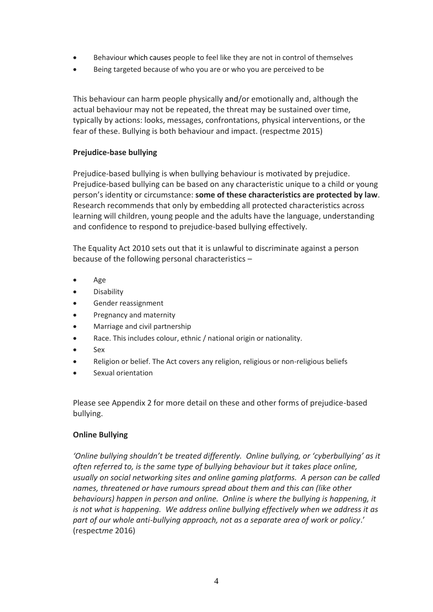- Behaviour which causes people to feel like they are not in control of themselves
- Being targeted because of who you are or who you are perceived to be

This behaviour can harm people physically and/or emotionally and, although the actual behaviour may not be repeated, the threat may be sustained over time, typically by actions: looks, messages, confrontations, physical interventions, or the fear of these. Bullying is both behaviour and impact. (respectme 2015)

## **Prejudice-base bullying**

Prejudice-based bullying is when bullying behaviour is motivated by prejudice. Prejudice-based bullying can be based on any characteristic unique to a child or young person's identity or circumstance: **some of these characteristics are protected by law**. Research recommends that only by embedding all protected characteristics across learning will children, young people and the adults have the language, understanding and confidence to respond to prejudice-based bullying effectively.

The Equality Act 2010 sets out that it is unlawful to discriminate against a person because of the following personal characteristics –

- Age
- Disability
- Gender reassignment
- Pregnancy and maternity
- Marriage and civil partnership
- Race. This includes colour, ethnic / national origin or nationality.
- Sex
- Religion or belief. The Act covers any religion, religious or non-religious beliefs
- Sexual orientation

Please see Appendix 2 for more detail on these and other forms of prejudice-based bullying.

#### **Online Bullying**

*'Online bullying shouldn't be treated differently. Online bullying, or 'cyberbullying' as it often referred to, is the same type of bullying behaviour but it takes place online, usually on social networking sites and online gaming platforms. A person can be called names, threatened or have rumours spread about them and this can (like other behaviours) happen in person and online. Online is where the bullying is happening, it is not what is happening. We address online bullying effectively when we address it as part of our whole anti-bullying approach, not as a separate area of work or policy*.' (respect*me* 2016)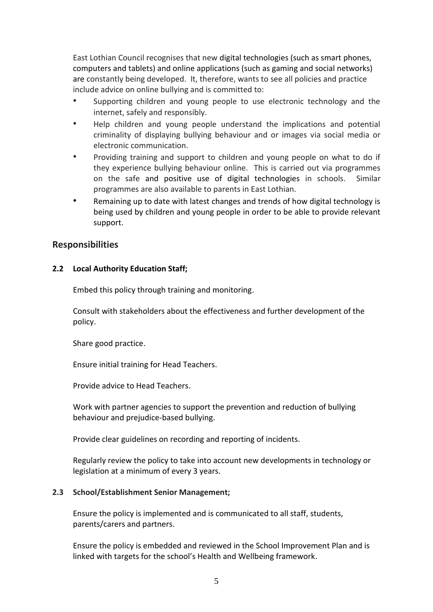East Lothian Council recognises that new digital technologies (such as smart phones, computers and tablets) and online applications (such as gaming and social networks) are constantly being developed. It, therefore, wants to see all policies and practice include advice on online bullying and is committed to:

- Supporting children and young people to use electronic technology and the internet, safely and responsibly.
- Help children and young people understand the implications and potential criminality of displaying bullying behaviour and or images via social media or electronic communication.
- Providing training and support to children and young people on what to do if they experience bullying behaviour online. This is carried out via programmes on the safe and positive use of digital technologies in schools. Similar programmes are also available to parents in East Lothian.
- Remaining up to date with latest changes and trends of how digital technology is being used by children and young people in order to be able to provide relevant support.

# **Responsibilities**

# **2.2 Local Authority Education Staff;**

Embed this policy through training and monitoring.

Consult with stakeholders about the effectiveness and further development of the policy.

Share good practice.

Ensure initial training for Head Teachers.

Provide advice to Head Teachers.

Work with partner agencies to support the prevention and reduction of bullying behaviour and prejudice-based bullying.

Provide clear guidelines on recording and reporting of incidents.

Regularly review the policy to take into account new developments in technology or legislation at a minimum of every 3 years.

#### **2.3 School/Establishment Senior Management;**

Ensure the policy is implemented and is communicated to all staff, students, parents/carers and partners.

Ensure the policy is embedded and reviewed in the School Improvement Plan and is linked with targets for the school's Health and Wellbeing framework.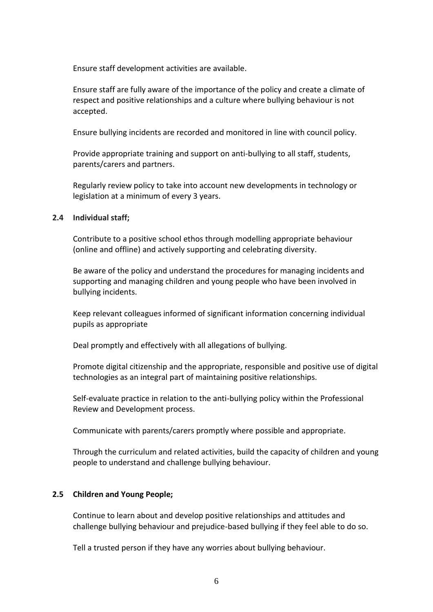Ensure staff development activities are available.

Ensure staff are fully aware of the importance of the policy and create a climate of respect and positive relationships and a culture where bullying behaviour is not accepted.

Ensure bullying incidents are recorded and monitored in line with council policy.

Provide appropriate training and support on anti-bullying to all staff, students, parents/carers and partners.

Regularly review policy to take into account new developments in technology or legislation at a minimum of every 3 years.

#### **2.4 Individual staff;**

Contribute to a positive school ethos through modelling appropriate behaviour (online and offline) and actively supporting and celebrating diversity.

Be aware of the policy and understand the procedures for managing incidents and supporting and managing children and young people who have been involved in bullying incidents.

Keep relevant colleagues informed of significant information concerning individual pupils as appropriate

Deal promptly and effectively with all allegations of bullying.

Promote digital citizenship and the appropriate, responsible and positive use of digital technologies as an integral part of maintaining positive relationships.

Self-evaluate practice in relation to the anti-bullying policy within the Professional Review and Development process.

Communicate with parents/carers promptly where possible and appropriate.

Through the curriculum and related activities, build the capacity of children and young people to understand and challenge bullying behaviour.

#### **2.5 Children and Young People;**

Continue to learn about and develop positive relationships and attitudes and challenge bullying behaviour and prejudice-based bullying if they feel able to do so.

Tell a trusted person if they have any worries about bullying behaviour.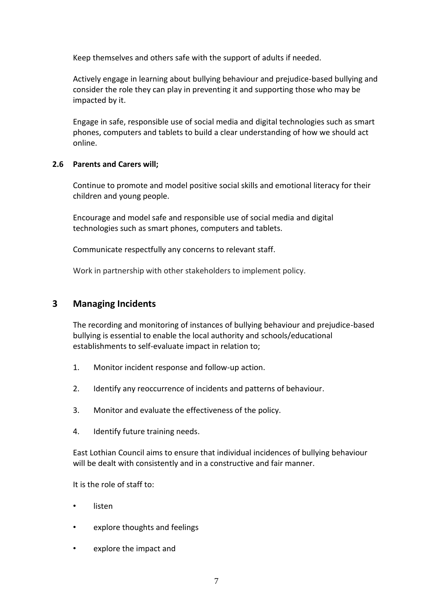Keep themselves and others safe with the support of adults if needed.

Actively engage in learning about bullying behaviour and prejudice-based bullying and consider the role they can play in preventing it and supporting those who may be impacted by it.

Engage in safe, responsible use of social media and digital technologies such as smart phones, computers and tablets to build a clear understanding of how we should act online.

## **2.6 Parents and Carers will;**

Continue to promote and model positive social skills and emotional literacy for their children and young people.

Encourage and model safe and responsible use of social media and digital technologies such as smart phones, computers and tablets.

Communicate respectfully any concerns to relevant staff.

Work in partnership with other stakeholders to implement policy.

# **3 Managing Incidents**

The recording and monitoring of instances of bullying behaviour and prejudice-based bullying is essential to enable the local authority and schools/educational establishments to self-evaluate impact in relation to;

- 1. Monitor incident response and follow-up action.
- 2. Identify any reoccurrence of incidents and patterns of behaviour.
- 3. Monitor and evaluate the effectiveness of the policy.
- 4. Identify future training needs.

East Lothian Council aims to ensure that individual incidences of bullying behaviour will be dealt with consistently and in a constructive and fair manner.

It is the role of staff to:

- listen
- explore thoughts and feelings
- explore the impact and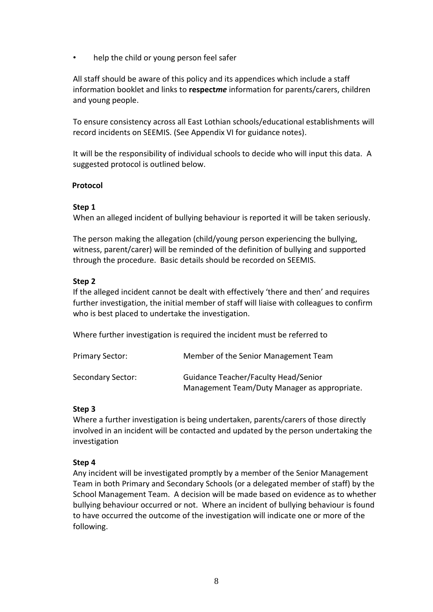help the child or young person feel safer

All staff should be aware of this policy and its appendices which include a staff information booklet and links to **respect***me* information for parents/carers, children and young people.

To ensure consistency across all East Lothian schools/educational establishments will record incidents on SEEMIS. (See Appendix VI for guidance notes).

It will be the responsibility of individual schools to decide who will input this data. A suggested protocol is outlined below.

## **Protocol**

## **Step 1**

When an alleged incident of bullying behaviour is reported it will be taken seriously.

The person making the allegation (child/young person experiencing the bullying, witness, parent/carer) will be reminded of the definition of bullying and supported through the procedure. Basic details should be recorded on SEEMIS.

## **Step 2**

If the alleged incident cannot be dealt with effectively 'there and then' and requires further investigation, the initial member of staff will liaise with colleagues to confirm who is best placed to undertake the investigation.

Where further investigation is required the incident must be referred to

| <b>Primary Sector:</b> | Member of the Senior Management Team                                                 |
|------------------------|--------------------------------------------------------------------------------------|
| Secondary Sector:      | Guidance Teacher/Faculty Head/Senior<br>Management Team/Duty Manager as appropriate. |

# **Step 3**

Where a further investigation is being undertaken, parents/carers of those directly involved in an incident will be contacted and updated by the person undertaking the investigation

#### **Step 4**

Any incident will be investigated promptly by a member of the Senior Management Team in both Primary and Secondary Schools (or a delegated member of staff) by the School Management Team. A decision will be made based on evidence as to whether bullying behaviour occurred or not. Where an incident of bullying behaviour is found to have occurred the outcome of the investigation will indicate one or more of the following.